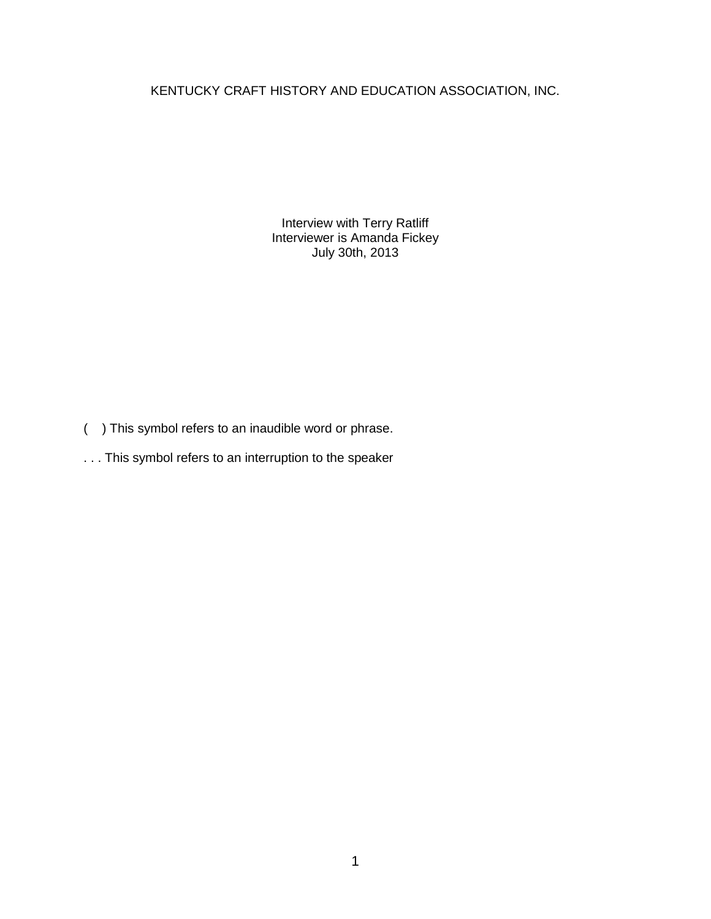## KENTUCKY CRAFT HISTORY AND EDUCATION ASSOCIATION, INC.

Interview with Terry Ratliff Interviewer is Amanda Fickey July 30th, 2013

- ( ) This symbol refers to an inaudible word or phrase.
- . . . This symbol refers to an interruption to the speaker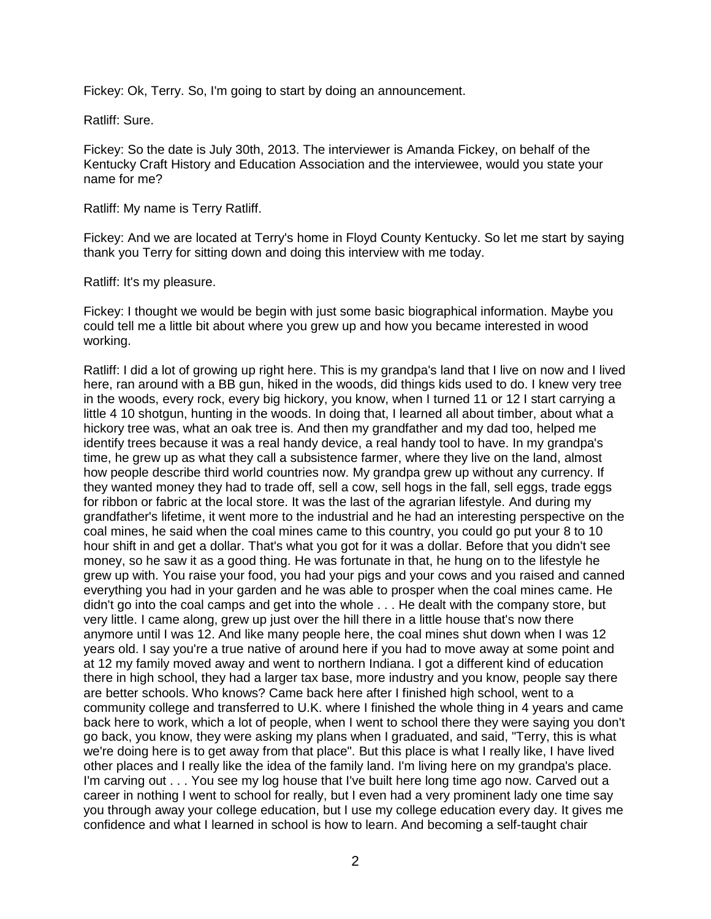Fickey: Ok, Terry. So, I'm going to start by doing an announcement.

Ratliff: Sure.

Fickey: So the date is July 30th, 2013. The interviewer is Amanda Fickey, on behalf of the Kentucky Craft History and Education Association and the interviewee, would you state your name for me?

Ratliff: My name is Terry Ratliff.

Fickey: And we are located at Terry's home in Floyd County Kentucky. So let me start by saying thank you Terry for sitting down and doing this interview with me today.

Ratliff: It's my pleasure.

Fickey: I thought we would be begin with just some basic biographical information. Maybe you could tell me a little bit about where you grew up and how you became interested in wood working.

Ratliff: I did a lot of growing up right here. This is my grandpa's land that I live on now and I lived here, ran around with a BB gun, hiked in the woods, did things kids used to do. I knew very tree in the woods, every rock, every big hickory, you know, when I turned 11 or 12 I start carrying a little 4 10 shotgun, hunting in the woods. In doing that, I learned all about timber, about what a hickory tree was, what an oak tree is. And then my grandfather and my dad too, helped me identify trees because it was a real handy device, a real handy tool to have. In my grandpa's time, he grew up as what they call a subsistence farmer, where they live on the land, almost how people describe third world countries now. My grandpa grew up without any currency. If they wanted money they had to trade off, sell a cow, sell hogs in the fall, sell eggs, trade eggs for ribbon or fabric at the local store. It was the last of the agrarian lifestyle. And during my grandfather's lifetime, it went more to the industrial and he had an interesting perspective on the coal mines, he said when the coal mines came to this country, you could go put your 8 to 10 hour shift in and get a dollar. That's what you got for it was a dollar. Before that you didn't see money, so he saw it as a good thing. He was fortunate in that, he hung on to the lifestyle he grew up with. You raise your food, you had your pigs and your cows and you raised and canned everything you had in your garden and he was able to prosper when the coal mines came. He didn't go into the coal camps and get into the whole . . . He dealt with the company store, but very little. I came along, grew up just over the hill there in a little house that's now there anymore until I was 12. And like many people here, the coal mines shut down when I was 12 years old. I say you're a true native of around here if you had to move away at some point and at 12 my family moved away and went to northern Indiana. I got a different kind of education there in high school, they had a larger tax base, more industry and you know, people say there are better schools. Who knows? Came back here after I finished high school, went to a community college and transferred to U.K. where I finished the whole thing in 4 years and came back here to work, which a lot of people, when I went to school there they were saying you don't go back, you know, they were asking my plans when I graduated, and said, "Terry, this is what we're doing here is to get away from that place". But this place is what I really like, I have lived other places and I really like the idea of the family land. I'm living here on my grandpa's place. I'm carving out . . . You see my log house that I've built here long time ago now. Carved out a career in nothing I went to school for really, but I even had a very prominent lady one time say you through away your college education, but I use my college education every day. It gives me confidence and what I learned in school is how to learn. And becoming a self-taught chair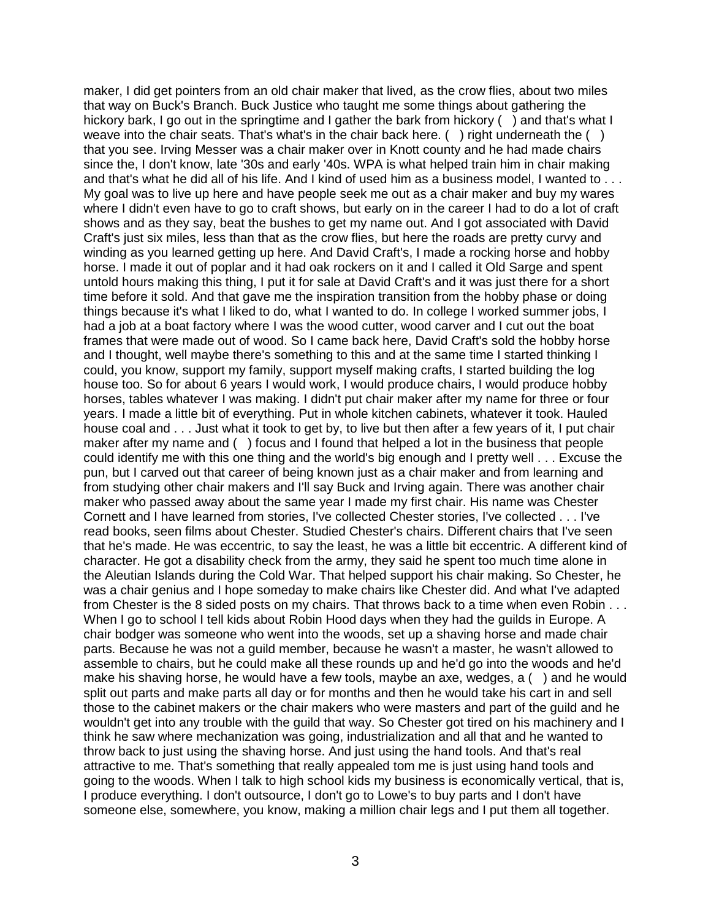maker, I did get pointers from an old chair maker that lived, as the crow flies, about two miles that way on Buck's Branch. Buck Justice who taught me some things about gathering the hickory bark, I go out in the springtime and I gather the bark from hickory () and that's what I weave into the chair seats. That's what's in the chair back here. () right underneath the () that you see. Irving Messer was a chair maker over in Knott county and he had made chairs since the, I don't know, late '30s and early '40s. WPA is what helped train him in chair making and that's what he did all of his life. And I kind of used him as a business model, I wanted to . . . My goal was to live up here and have people seek me out as a chair maker and buy my wares where I didn't even have to go to craft shows, but early on in the career I had to do a lot of craft shows and as they say, beat the bushes to get my name out. And I got associated with David Craft's just six miles, less than that as the crow flies, but here the roads are pretty curvy and winding as you learned getting up here. And David Craft's, I made a rocking horse and hobby horse. I made it out of poplar and it had oak rockers on it and I called it Old Sarge and spent untold hours making this thing, I put it for sale at David Craft's and it was just there for a short time before it sold. And that gave me the inspiration transition from the hobby phase or doing things because it's what I liked to do, what I wanted to do. In college I worked summer jobs, I had a job at a boat factory where I was the wood cutter, wood carver and I cut out the boat frames that were made out of wood. So I came back here, David Craft's sold the hobby horse and I thought, well maybe there's something to this and at the same time I started thinking I could, you know, support my family, support myself making crafts, I started building the log house too. So for about 6 years I would work, I would produce chairs, I would produce hobby horses, tables whatever I was making. I didn't put chair maker after my name for three or four years. I made a little bit of everything. Put in whole kitchen cabinets, whatever it took. Hauled house coal and . . . Just what it took to get by, to live but then after a few years of it, I put chair maker after my name and ( ) focus and I found that helped a lot in the business that people could identify me with this one thing and the world's big enough and I pretty well . . . Excuse the pun, but I carved out that career of being known just as a chair maker and from learning and from studying other chair makers and I'll say Buck and Irving again. There was another chair maker who passed away about the same year I made my first chair. His name was Chester Cornett and I have learned from stories, I've collected Chester stories, I've collected . . . I've read books, seen films about Chester. Studied Chester's chairs. Different chairs that I've seen that he's made. He was eccentric, to say the least, he was a little bit eccentric. A different kind of character. He got a disability check from the army, they said he spent too much time alone in the Aleutian Islands during the Cold War. That helped support his chair making. So Chester, he was a chair genius and I hope someday to make chairs like Chester did. And what I've adapted from Chester is the 8 sided posts on my chairs. That throws back to a time when even Robin . . . When I go to school I tell kids about Robin Hood days when they had the guilds in Europe. A chair bodger was someone who went into the woods, set up a shaving horse and made chair parts. Because he was not a guild member, because he wasn't a master, he wasn't allowed to assemble to chairs, but he could make all these rounds up and he'd go into the woods and he'd make his shaving horse, he would have a few tools, maybe an axe, wedges, a ( ) and he would split out parts and make parts all day or for months and then he would take his cart in and sell those to the cabinet makers or the chair makers who were masters and part of the guild and he wouldn't get into any trouble with the guild that way. So Chester got tired on his machinery and I think he saw where mechanization was going, industrialization and all that and he wanted to throw back to just using the shaving horse. And just using the hand tools. And that's real attractive to me. That's something that really appealed tom me is just using hand tools and going to the woods. When I talk to high school kids my business is economically vertical, that is, I produce everything. I don't outsource, I don't go to Lowe's to buy parts and I don't have someone else, somewhere, you know, making a million chair legs and I put them all together.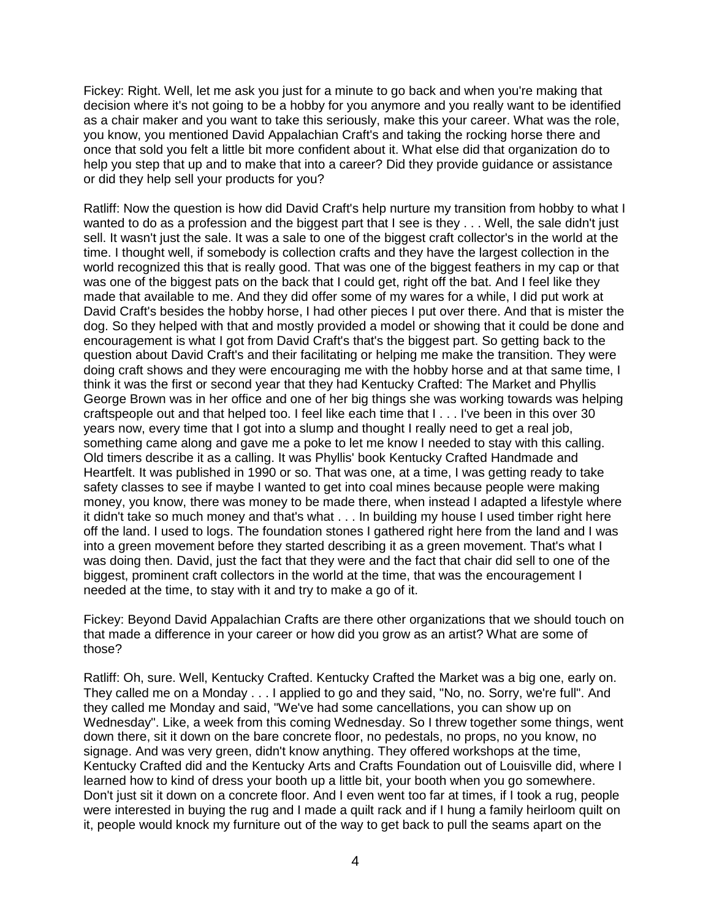Fickey: Right. Well, let me ask you just for a minute to go back and when you're making that decision where it's not going to be a hobby for you anymore and you really want to be identified as a chair maker and you want to take this seriously, make this your career. What was the role, you know, you mentioned David Appalachian Craft's and taking the rocking horse there and once that sold you felt a little bit more confident about it. What else did that organization do to help you step that up and to make that into a career? Did they provide guidance or assistance or did they help sell your products for you?

Ratliff: Now the question is how did David Craft's help nurture my transition from hobby to what I wanted to do as a profession and the biggest part that I see is they . . . Well, the sale didn't just sell. It wasn't just the sale. It was a sale to one of the biggest craft collector's in the world at the time. I thought well, if somebody is collection crafts and they have the largest collection in the world recognized this that is really good. That was one of the biggest feathers in my cap or that was one of the biggest pats on the back that I could get, right off the bat. And I feel like they made that available to me. And they did offer some of my wares for a while, I did put work at David Craft's besides the hobby horse, I had other pieces I put over there. And that is mister the dog. So they helped with that and mostly provided a model or showing that it could be done and encouragement is what I got from David Craft's that's the biggest part. So getting back to the question about David Craft's and their facilitating or helping me make the transition. They were doing craft shows and they were encouraging me with the hobby horse and at that same time, I think it was the first or second year that they had Kentucky Crafted: The Market and Phyllis George Brown was in her office and one of her big things she was working towards was helping craftspeople out and that helped too. I feel like each time that I . . . I've been in this over 30 years now, every time that I got into a slump and thought I really need to get a real job, something came along and gave me a poke to let me know I needed to stay with this calling. Old timers describe it as a calling. It was Phyllis' book Kentucky Crafted Handmade and Heartfelt. It was published in 1990 or so. That was one, at a time, I was getting ready to take safety classes to see if maybe I wanted to get into coal mines because people were making money, you know, there was money to be made there, when instead I adapted a lifestyle where it didn't take so much money and that's what . . . In building my house I used timber right here off the land. I used to logs. The foundation stones I gathered right here from the land and I was into a green movement before they started describing it as a green movement. That's what I was doing then. David, just the fact that they were and the fact that chair did sell to one of the biggest, prominent craft collectors in the world at the time, that was the encouragement I needed at the time, to stay with it and try to make a go of it.

Fickey: Beyond David Appalachian Crafts are there other organizations that we should touch on that made a difference in your career or how did you grow as an artist? What are some of those?

Ratliff: Oh, sure. Well, Kentucky Crafted. Kentucky Crafted the Market was a big one, early on. They called me on a Monday . . . I applied to go and they said, "No, no. Sorry, we're full". And they called me Monday and said, "We've had some cancellations, you can show up on Wednesday". Like, a week from this coming Wednesday. So I threw together some things, went down there, sit it down on the bare concrete floor, no pedestals, no props, no you know, no signage. And was very green, didn't know anything. They offered workshops at the time, Kentucky Crafted did and the Kentucky Arts and Crafts Foundation out of Louisville did, where I learned how to kind of dress your booth up a little bit, your booth when you go somewhere. Don't just sit it down on a concrete floor. And I even went too far at times, if I took a rug, people were interested in buying the rug and I made a quilt rack and if I hung a family heirloom quilt on it, people would knock my furniture out of the way to get back to pull the seams apart on the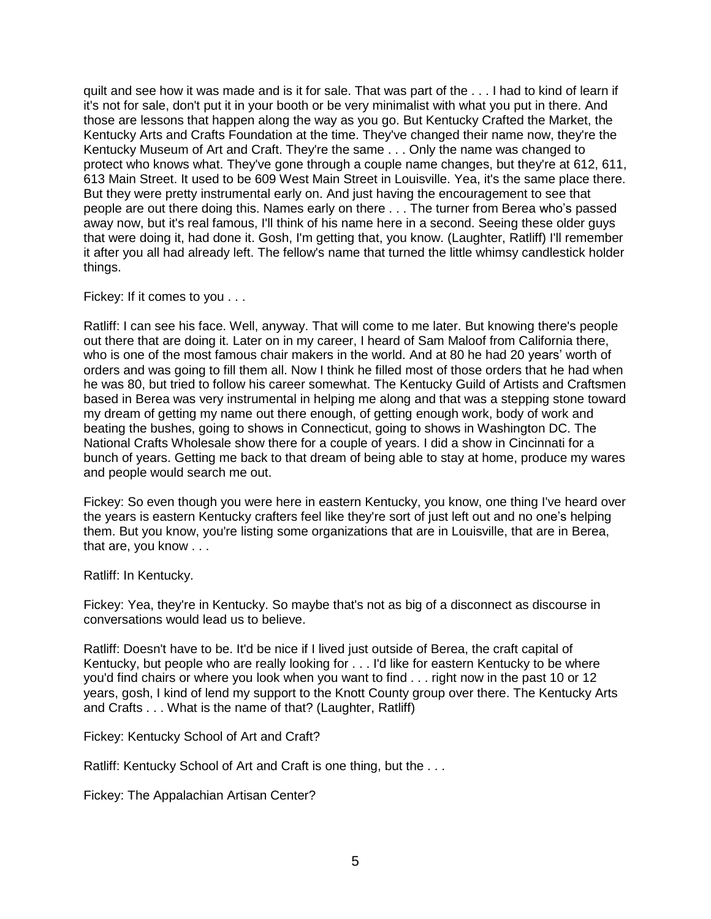quilt and see how it was made and is it for sale. That was part of the . . . I had to kind of learn if it's not for sale, don't put it in your booth or be very minimalist with what you put in there. And those are lessons that happen along the way as you go. But Kentucky Crafted the Market, the Kentucky Arts and Crafts Foundation at the time. They've changed their name now, they're the Kentucky Museum of Art and Craft. They're the same . . . Only the name was changed to protect who knows what. They've gone through a couple name changes, but they're at 612, 611, 613 Main Street. It used to be 609 West Main Street in Louisville. Yea, it's the same place there. But they were pretty instrumental early on. And just having the encouragement to see that people are out there doing this. Names early on there . . . The turner from Berea who's passed away now, but it's real famous, I'll think of his name here in a second. Seeing these older guys that were doing it, had done it. Gosh, I'm getting that, you know. (Laughter, Ratliff) I'll remember it after you all had already left. The fellow's name that turned the little whimsy candlestick holder things.

Fickey: If it comes to you . . .

Ratliff: I can see his face. Well, anyway. That will come to me later. But knowing there's people out there that are doing it. Later on in my career, I heard of Sam Maloof from California there, who is one of the most famous chair makers in the world. And at 80 he had 20 years' worth of orders and was going to fill them all. Now I think he filled most of those orders that he had when he was 80, but tried to follow his career somewhat. The Kentucky Guild of Artists and Craftsmen based in Berea was very instrumental in helping me along and that was a stepping stone toward my dream of getting my name out there enough, of getting enough work, body of work and beating the bushes, going to shows in Connecticut, going to shows in Washington DC. The National Crafts Wholesale show there for a couple of years. I did a show in Cincinnati for a bunch of years. Getting me back to that dream of being able to stay at home, produce my wares and people would search me out.

Fickey: So even though you were here in eastern Kentucky, you know, one thing I've heard over the years is eastern Kentucky crafters feel like they're sort of just left out and no one's helping them. But you know, you're listing some organizations that are in Louisville, that are in Berea, that are, you know . . .

Ratliff: In Kentucky.

Fickey: Yea, they're in Kentucky. So maybe that's not as big of a disconnect as discourse in conversations would lead us to believe.

Ratliff: Doesn't have to be. It'd be nice if I lived just outside of Berea, the craft capital of Kentucky, but people who are really looking for . . . I'd like for eastern Kentucky to be where you'd find chairs or where you look when you want to find . . . right now in the past 10 or 12 years, gosh, I kind of lend my support to the Knott County group over there. The Kentucky Arts and Crafts . . . What is the name of that? (Laughter, Ratliff)

Fickey: Kentucky School of Art and Craft?

Ratliff: Kentucky School of Art and Craft is one thing, but the ...

Fickey: The Appalachian Artisan Center?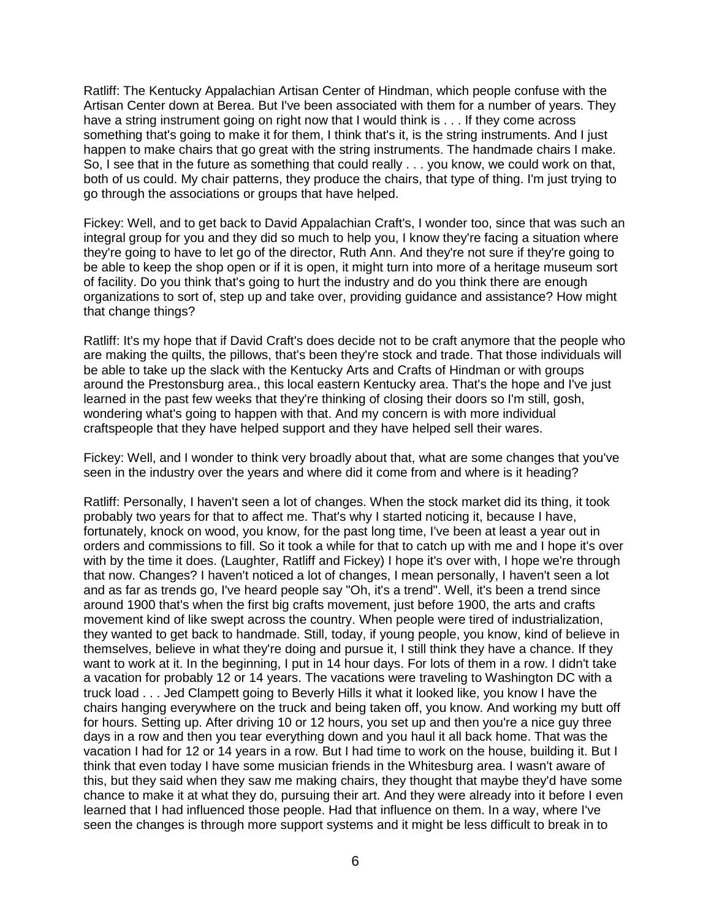Ratliff: The Kentucky Appalachian Artisan Center of Hindman, which people confuse with the Artisan Center down at Berea. But I've been associated with them for a number of years. They have a string instrument going on right now that I would think is . . . If they come across something that's going to make it for them, I think that's it, is the string instruments. And I just happen to make chairs that go great with the string instruments. The handmade chairs I make. So, I see that in the future as something that could really . . . you know, we could work on that, both of us could. My chair patterns, they produce the chairs, that type of thing. I'm just trying to go through the associations or groups that have helped.

Fickey: Well, and to get back to David Appalachian Craft's, I wonder too, since that was such an integral group for you and they did so much to help you, I know they're facing a situation where they're going to have to let go of the director, Ruth Ann. And they're not sure if they're going to be able to keep the shop open or if it is open, it might turn into more of a heritage museum sort of facility. Do you think that's going to hurt the industry and do you think there are enough organizations to sort of, step up and take over, providing guidance and assistance? How might that change things?

Ratliff: It's my hope that if David Craft's does decide not to be craft anymore that the people who are making the quilts, the pillows, that's been they're stock and trade. That those individuals will be able to take up the slack with the Kentucky Arts and Crafts of Hindman or with groups around the Prestonsburg area., this local eastern Kentucky area. That's the hope and I've just learned in the past few weeks that they're thinking of closing their doors so I'm still, gosh, wondering what's going to happen with that. And my concern is with more individual craftspeople that they have helped support and they have helped sell their wares.

Fickey: Well, and I wonder to think very broadly about that, what are some changes that you've seen in the industry over the years and where did it come from and where is it heading?

Ratliff: Personally, I haven't seen a lot of changes. When the stock market did its thing, it took probably two years for that to affect me. That's why I started noticing it, because I have, fortunately, knock on wood, you know, for the past long time, I've been at least a year out in orders and commissions to fill. So it took a while for that to catch up with me and I hope it's over with by the time it does. (Laughter, Ratliff and Fickey) I hope it's over with, I hope we're through that now. Changes? I haven't noticed a lot of changes, I mean personally, I haven't seen a lot and as far as trends go, I've heard people say "Oh, it's a trend". Well, it's been a trend since around 1900 that's when the first big crafts movement, just before 1900, the arts and crafts movement kind of like swept across the country. When people were tired of industrialization, they wanted to get back to handmade. Still, today, if young people, you know, kind of believe in themselves, believe in what they're doing and pursue it, I still think they have a chance. If they want to work at it. In the beginning, I put in 14 hour days. For lots of them in a row. I didn't take a vacation for probably 12 or 14 years. The vacations were traveling to Washington DC with a truck load . . . Jed Clampett going to Beverly Hills it what it looked like, you know I have the chairs hanging everywhere on the truck and being taken off, you know. And working my butt off for hours. Setting up. After driving 10 or 12 hours, you set up and then you're a nice guy three days in a row and then you tear everything down and you haul it all back home. That was the vacation I had for 12 or 14 years in a row. But I had time to work on the house, building it. But I think that even today I have some musician friends in the Whitesburg area. I wasn't aware of this, but they said when they saw me making chairs, they thought that maybe they'd have some chance to make it at what they do, pursuing their art. And they were already into it before I even learned that I had influenced those people. Had that influence on them. In a way, where I've seen the changes is through more support systems and it might be less difficult to break in to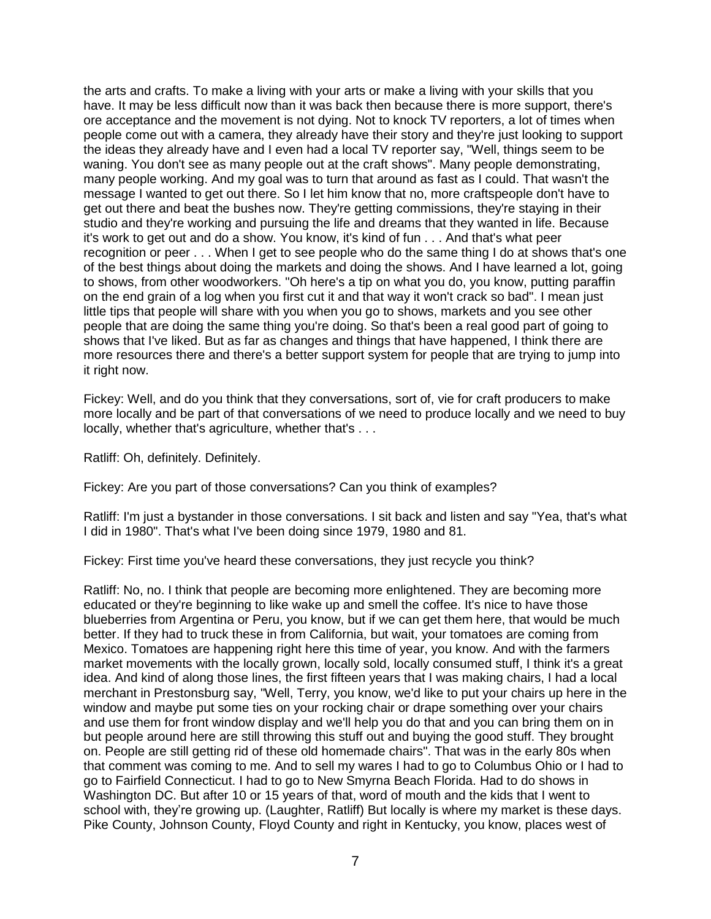the arts and crafts. To make a living with your arts or make a living with your skills that you have. It may be less difficult now than it was back then because there is more support, there's ore acceptance and the movement is not dying. Not to knock TV reporters, a lot of times when people come out with a camera, they already have their story and they're just looking to support the ideas they already have and I even had a local TV reporter say, "Well, things seem to be waning. You don't see as many people out at the craft shows". Many people demonstrating, many people working. And my goal was to turn that around as fast as I could. That wasn't the message I wanted to get out there. So I let him know that no, more craftspeople don't have to get out there and beat the bushes now. They're getting commissions, they're staying in their studio and they're working and pursuing the life and dreams that they wanted in life. Because it's work to get out and do a show. You know, it's kind of fun . . . And that's what peer recognition or peer . . . When I get to see people who do the same thing I do at shows that's one of the best things about doing the markets and doing the shows. And I have learned a lot, going to shows, from other woodworkers. "Oh here's a tip on what you do, you know, putting paraffin on the end grain of a log when you first cut it and that way it won't crack so bad". I mean just little tips that people will share with you when you go to shows, markets and you see other people that are doing the same thing you're doing. So that's been a real good part of going to shows that I've liked. But as far as changes and things that have happened, I think there are more resources there and there's a better support system for people that are trying to jump into it right now.

Fickey: Well, and do you think that they conversations, sort of, vie for craft producers to make more locally and be part of that conversations of we need to produce locally and we need to buy locally, whether that's agriculture, whether that's . . .

Ratliff: Oh, definitely. Definitely.

Fickey: Are you part of those conversations? Can you think of examples?

Ratliff: I'm just a bystander in those conversations. I sit back and listen and say "Yea, that's what I did in 1980". That's what I've been doing since 1979, 1980 and 81.

Fickey: First time you've heard these conversations, they just recycle you think?

Ratliff: No, no. I think that people are becoming more enlightened. They are becoming more educated or they're beginning to like wake up and smell the coffee. It's nice to have those blueberries from Argentina or Peru, you know, but if we can get them here, that would be much better. If they had to truck these in from California, but wait, your tomatoes are coming from Mexico. Tomatoes are happening right here this time of year, you know. And with the farmers market movements with the locally grown, locally sold, locally consumed stuff, I think it's a great idea. And kind of along those lines, the first fifteen years that I was making chairs, I had a local merchant in Prestonsburg say, "Well, Terry, you know, we'd like to put your chairs up here in the window and maybe put some ties on your rocking chair or drape something over your chairs and use them for front window display and we'll help you do that and you can bring them on in but people around here are still throwing this stuff out and buying the good stuff. They brought on. People are still getting rid of these old homemade chairs". That was in the early 80s when that comment was coming to me. And to sell my wares I had to go to Columbus Ohio or I had to go to Fairfield Connecticut. I had to go to New Smyrna Beach Florida. Had to do shows in Washington DC. But after 10 or 15 years of that, word of mouth and the kids that I went to school with, they're growing up. (Laughter, Ratliff) But locally is where my market is these days. Pike County, Johnson County, Floyd County and right in Kentucky, you know, places west of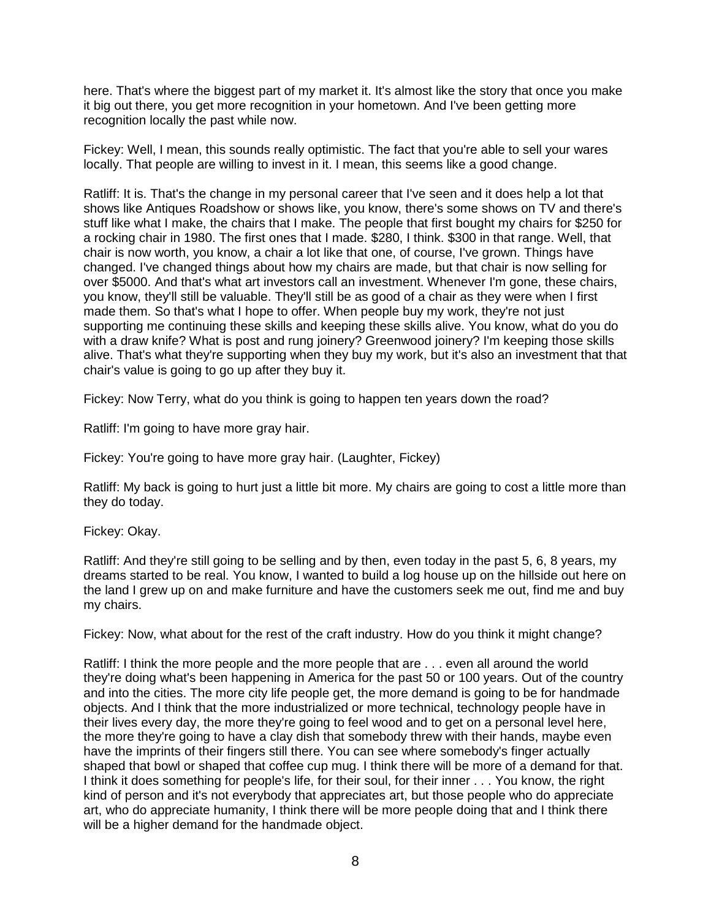here. That's where the biggest part of my market it. It's almost like the story that once you make it big out there, you get more recognition in your hometown. And I've been getting more recognition locally the past while now.

Fickey: Well, I mean, this sounds really optimistic. The fact that you're able to sell your wares locally. That people are willing to invest in it. I mean, this seems like a good change.

Ratliff: It is. That's the change in my personal career that I've seen and it does help a lot that shows like Antiques Roadshow or shows like, you know, there's some shows on TV and there's stuff like what I make, the chairs that I make. The people that first bought my chairs for \$250 for a rocking chair in 1980. The first ones that I made. \$280, I think. \$300 in that range. Well, that chair is now worth, you know, a chair a lot like that one, of course, I've grown. Things have changed. I've changed things about how my chairs are made, but that chair is now selling for over \$5000. And that's what art investors call an investment. Whenever I'm gone, these chairs, you know, they'll still be valuable. They'll still be as good of a chair as they were when I first made them. So that's what I hope to offer. When people buy my work, they're not just supporting me continuing these skills and keeping these skills alive. You know, what do you do with a draw knife? What is post and rung joinery? Greenwood joinery? I'm keeping those skills alive. That's what they're supporting when they buy my work, but it's also an investment that that chair's value is going to go up after they buy it.

Fickey: Now Terry, what do you think is going to happen ten years down the road?

Ratliff: I'm going to have more gray hair.

Fickey: You're going to have more gray hair. (Laughter, Fickey)

Ratliff: My back is going to hurt just a little bit more. My chairs are going to cost a little more than they do today.

Fickey: Okay.

Ratliff: And they're still going to be selling and by then, even today in the past 5, 6, 8 years, my dreams started to be real. You know, I wanted to build a log house up on the hillside out here on the land I grew up on and make furniture and have the customers seek me out, find me and buy my chairs.

Fickey: Now, what about for the rest of the craft industry. How do you think it might change?

Ratliff: I think the more people and the more people that are . . . even all around the world they're doing what's been happening in America for the past 50 or 100 years. Out of the country and into the cities. The more city life people get, the more demand is going to be for handmade objects. And I think that the more industrialized or more technical, technology people have in their lives every day, the more they're going to feel wood and to get on a personal level here, the more they're going to have a clay dish that somebody threw with their hands, maybe even have the imprints of their fingers still there. You can see where somebody's finger actually shaped that bowl or shaped that coffee cup mug. I think there will be more of a demand for that. I think it does something for people's life, for their soul, for their inner . . . You know, the right kind of person and it's not everybody that appreciates art, but those people who do appreciate art, who do appreciate humanity, I think there will be more people doing that and I think there will be a higher demand for the handmade object.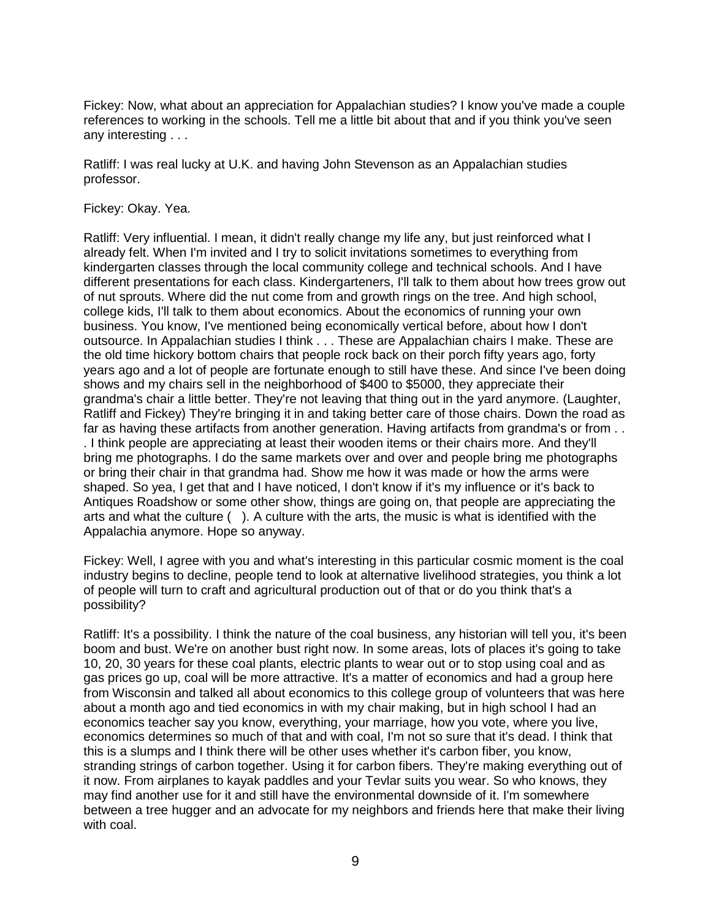Fickey: Now, what about an appreciation for Appalachian studies? I know you've made a couple references to working in the schools. Tell me a little bit about that and if you think you've seen any interesting . . .

Ratliff: I was real lucky at U.K. and having John Stevenson as an Appalachian studies professor.

Fickey: Okay. Yea.

Ratliff: Very influential. I mean, it didn't really change my life any, but just reinforced what I already felt. When I'm invited and I try to solicit invitations sometimes to everything from kindergarten classes through the local community college and technical schools. And I have different presentations for each class. Kindergarteners, I'll talk to them about how trees grow out of nut sprouts. Where did the nut come from and growth rings on the tree. And high school, college kids, I'll talk to them about economics. About the economics of running your own business. You know, I've mentioned being economically vertical before, about how I don't outsource. In Appalachian studies I think . . . These are Appalachian chairs I make. These are the old time hickory bottom chairs that people rock back on their porch fifty years ago, forty years ago and a lot of people are fortunate enough to still have these. And since I've been doing shows and my chairs sell in the neighborhood of \$400 to \$5000, they appreciate their grandma's chair a little better. They're not leaving that thing out in the yard anymore. (Laughter, Ratliff and Fickey) They're bringing it in and taking better care of those chairs. Down the road as far as having these artifacts from another generation. Having artifacts from grandma's or from . . . I think people are appreciating at least their wooden items or their chairs more. And they'll bring me photographs. I do the same markets over and over and people bring me photographs or bring their chair in that grandma had. Show me how it was made or how the arms were shaped. So yea, I get that and I have noticed, I don't know if it's my influence or it's back to Antiques Roadshow or some other show, things are going on, that people are appreciating the arts and what the culture ( ). A culture with the arts, the music is what is identified with the Appalachia anymore. Hope so anyway.

Fickey: Well, I agree with you and what's interesting in this particular cosmic moment is the coal industry begins to decline, people tend to look at alternative livelihood strategies, you think a lot of people will turn to craft and agricultural production out of that or do you think that's a possibility?

Ratliff: It's a possibility. I think the nature of the coal business, any historian will tell you, it's been boom and bust. We're on another bust right now. In some areas, lots of places it's going to take 10, 20, 30 years for these coal plants, electric plants to wear out or to stop using coal and as gas prices go up, coal will be more attractive. It's a matter of economics and had a group here from Wisconsin and talked all about economics to this college group of volunteers that was here about a month ago and tied economics in with my chair making, but in high school I had an economics teacher say you know, everything, your marriage, how you vote, where you live, economics determines so much of that and with coal, I'm not so sure that it's dead. I think that this is a slumps and I think there will be other uses whether it's carbon fiber, you know, stranding strings of carbon together. Using it for carbon fibers. They're making everything out of it now. From airplanes to kayak paddles and your Tevlar suits you wear. So who knows, they may find another use for it and still have the environmental downside of it. I'm somewhere between a tree hugger and an advocate for my neighbors and friends here that make their living with coal.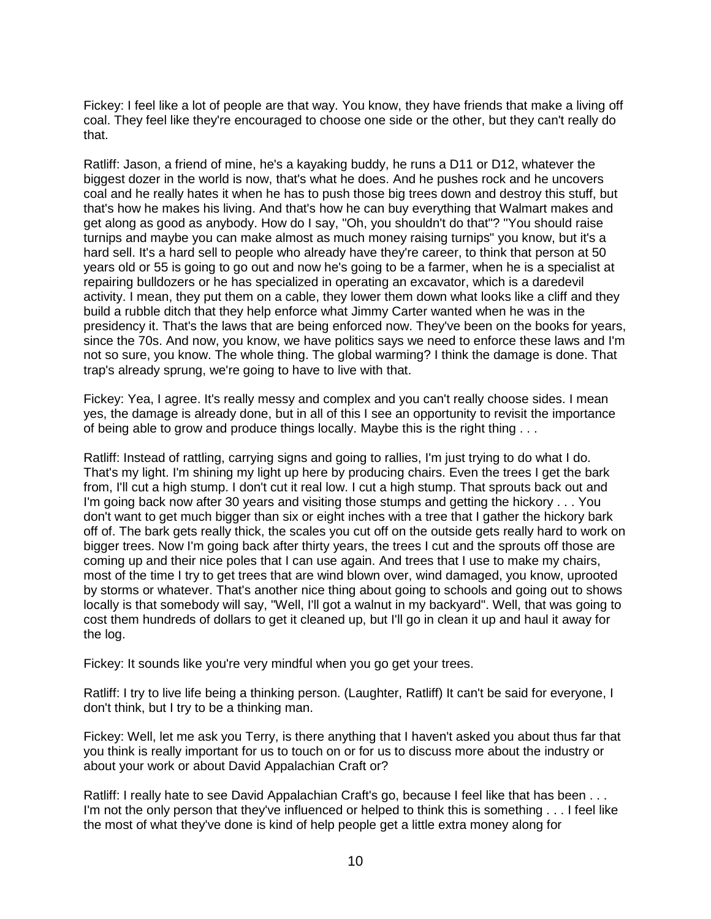Fickey: I feel like a lot of people are that way. You know, they have friends that make a living off coal. They feel like they're encouraged to choose one side or the other, but they can't really do that.

Ratliff: Jason, a friend of mine, he's a kayaking buddy, he runs a D11 or D12, whatever the biggest dozer in the world is now, that's what he does. And he pushes rock and he uncovers coal and he really hates it when he has to push those big trees down and destroy this stuff, but that's how he makes his living. And that's how he can buy everything that Walmart makes and get along as good as anybody. How do I say, "Oh, you shouldn't do that"? "You should raise turnips and maybe you can make almost as much money raising turnips" you know, but it's a hard sell. It's a hard sell to people who already have they're career, to think that person at 50 years old or 55 is going to go out and now he's going to be a farmer, when he is a specialist at repairing bulldozers or he has specialized in operating an excavator, which is a daredevil activity. I mean, they put them on a cable, they lower them down what looks like a cliff and they build a rubble ditch that they help enforce what Jimmy Carter wanted when he was in the presidency it. That's the laws that are being enforced now. They've been on the books for years, since the 70s. And now, you know, we have politics says we need to enforce these laws and I'm not so sure, you know. The whole thing. The global warming? I think the damage is done. That trap's already sprung, we're going to have to live with that.

Fickey: Yea, I agree. It's really messy and complex and you can't really choose sides. I mean yes, the damage is already done, but in all of this I see an opportunity to revisit the importance of being able to grow and produce things locally. Maybe this is the right thing . . .

Ratliff: Instead of rattling, carrying signs and going to rallies, I'm just trying to do what I do. That's my light. I'm shining my light up here by producing chairs. Even the trees I get the bark from, I'll cut a high stump. I don't cut it real low. I cut a high stump. That sprouts back out and I'm going back now after 30 years and visiting those stumps and getting the hickory . . . You don't want to get much bigger than six or eight inches with a tree that I gather the hickory bark off of. The bark gets really thick, the scales you cut off on the outside gets really hard to work on bigger trees. Now I'm going back after thirty years, the trees I cut and the sprouts off those are coming up and their nice poles that I can use again. And trees that I use to make my chairs, most of the time I try to get trees that are wind blown over, wind damaged, you know, uprooted by storms or whatever. That's another nice thing about going to schools and going out to shows locally is that somebody will say, "Well, I'll got a walnut in my backyard". Well, that was going to cost them hundreds of dollars to get it cleaned up, but I'll go in clean it up and haul it away for the log.

Fickey: It sounds like you're very mindful when you go get your trees.

Ratliff: I try to live life being a thinking person. (Laughter, Ratliff) It can't be said for everyone, I don't think, but I try to be a thinking man.

Fickey: Well, let me ask you Terry, is there anything that I haven't asked you about thus far that you think is really important for us to touch on or for us to discuss more about the industry or about your work or about David Appalachian Craft or?

Ratliff: I really hate to see David Appalachian Craft's go, because I feel like that has been . . . I'm not the only person that they've influenced or helped to think this is something . . . I feel like the most of what they've done is kind of help people get a little extra money along for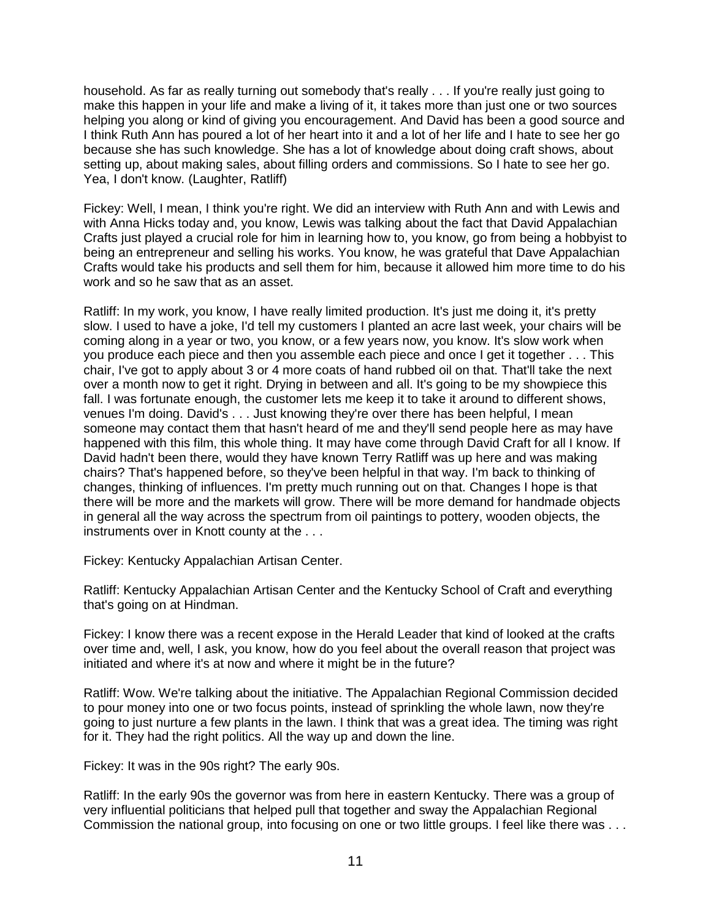household. As far as really turning out somebody that's really . . . If you're really just going to make this happen in your life and make a living of it, it takes more than just one or two sources helping you along or kind of giving you encouragement. And David has been a good source and I think Ruth Ann has poured a lot of her heart into it and a lot of her life and I hate to see her go because she has such knowledge. She has a lot of knowledge about doing craft shows, about setting up, about making sales, about filling orders and commissions. So I hate to see her go. Yea, I don't know. (Laughter, Ratliff)

Fickey: Well, I mean, I think you're right. We did an interview with Ruth Ann and with Lewis and with Anna Hicks today and, you know, Lewis was talking about the fact that David Appalachian Crafts just played a crucial role for him in learning how to, you know, go from being a hobbyist to being an entrepreneur and selling his works. You know, he was grateful that Dave Appalachian Crafts would take his products and sell them for him, because it allowed him more time to do his work and so he saw that as an asset.

Ratliff: In my work, you know, I have really limited production. It's just me doing it, it's pretty slow. I used to have a joke, I'd tell my customers I planted an acre last week, your chairs will be coming along in a year or two, you know, or a few years now, you know. It's slow work when you produce each piece and then you assemble each piece and once I get it together . . . This chair, I've got to apply about 3 or 4 more coats of hand rubbed oil on that. That'll take the next over a month now to get it right. Drying in between and all. It's going to be my showpiece this fall. I was fortunate enough, the customer lets me keep it to take it around to different shows, venues I'm doing. David's . . . Just knowing they're over there has been helpful, I mean someone may contact them that hasn't heard of me and they'll send people here as may have happened with this film, this whole thing. It may have come through David Craft for all I know. If David hadn't been there, would they have known Terry Ratliff was up here and was making chairs? That's happened before, so they've been helpful in that way. I'm back to thinking of changes, thinking of influences. I'm pretty much running out on that. Changes I hope is that there will be more and the markets will grow. There will be more demand for handmade objects in general all the way across the spectrum from oil paintings to pottery, wooden objects, the instruments over in Knott county at the . . .

Fickey: Kentucky Appalachian Artisan Center.

Ratliff: Kentucky Appalachian Artisan Center and the Kentucky School of Craft and everything that's going on at Hindman.

Fickey: I know there was a recent expose in the Herald Leader that kind of looked at the crafts over time and, well, I ask, you know, how do you feel about the overall reason that project was initiated and where it's at now and where it might be in the future?

Ratliff: Wow. We're talking about the initiative. The Appalachian Regional Commission decided to pour money into one or two focus points, instead of sprinkling the whole lawn, now they're going to just nurture a few plants in the lawn. I think that was a great idea. The timing was right for it. They had the right politics. All the way up and down the line.

Fickey: It was in the 90s right? The early 90s.

Ratliff: In the early 90s the governor was from here in eastern Kentucky. There was a group of very influential politicians that helped pull that together and sway the Appalachian Regional Commission the national group, into focusing on one or two little groups. I feel like there was . . .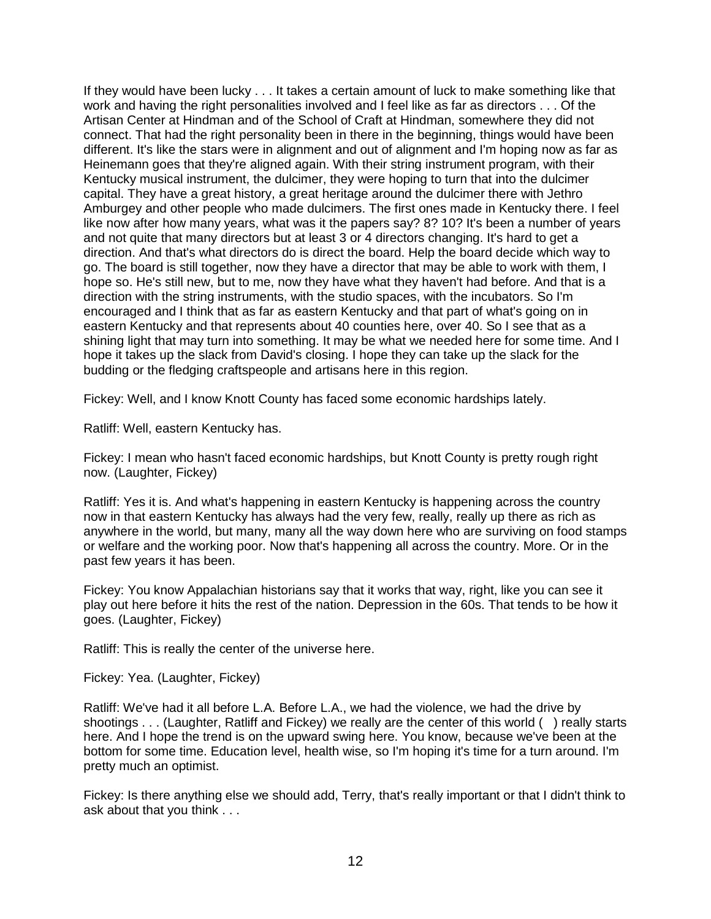If they would have been lucky . . . It takes a certain amount of luck to make something like that work and having the right personalities involved and I feel like as far as directors . . . Of the Artisan Center at Hindman and of the School of Craft at Hindman, somewhere they did not connect. That had the right personality been in there in the beginning, things would have been different. It's like the stars were in alignment and out of alignment and I'm hoping now as far as Heinemann goes that they're aligned again. With their string instrument program, with their Kentucky musical instrument, the dulcimer, they were hoping to turn that into the dulcimer capital. They have a great history, a great heritage around the dulcimer there with Jethro Amburgey and other people who made dulcimers. The first ones made in Kentucky there. I feel like now after how many years, what was it the papers say? 8? 10? It's been a number of years and not quite that many directors but at least 3 or 4 directors changing. It's hard to get a direction. And that's what directors do is direct the board. Help the board decide which way to go. The board is still together, now they have a director that may be able to work with them, I hope so. He's still new, but to me, now they have what they haven't had before. And that is a direction with the string instruments, with the studio spaces, with the incubators. So I'm encouraged and I think that as far as eastern Kentucky and that part of what's going on in eastern Kentucky and that represents about 40 counties here, over 40. So I see that as a shining light that may turn into something. It may be what we needed here for some time. And I hope it takes up the slack from David's closing. I hope they can take up the slack for the budding or the fledging craftspeople and artisans here in this region.

Fickey: Well, and I know Knott County has faced some economic hardships lately.

Ratliff: Well, eastern Kentucky has.

Fickey: I mean who hasn't faced economic hardships, but Knott County is pretty rough right now. (Laughter, Fickey)

Ratliff: Yes it is. And what's happening in eastern Kentucky is happening across the country now in that eastern Kentucky has always had the very few, really, really up there as rich as anywhere in the world, but many, many all the way down here who are surviving on food stamps or welfare and the working poor. Now that's happening all across the country. More. Or in the past few years it has been.

Fickey: You know Appalachian historians say that it works that way, right, like you can see it play out here before it hits the rest of the nation. Depression in the 60s. That tends to be how it goes. (Laughter, Fickey)

Ratliff: This is really the center of the universe here.

Fickey: Yea. (Laughter, Fickey)

Ratliff: We've had it all before L.A. Before L.A., we had the violence, we had the drive by shootings . . . (Laughter, Ratliff and Fickey) we really are the center of this world () really starts here. And I hope the trend is on the upward swing here. You know, because we've been at the bottom for some time. Education level, health wise, so I'm hoping it's time for a turn around. I'm pretty much an optimist.

Fickey: Is there anything else we should add, Terry, that's really important or that I didn't think to ask about that you think . . .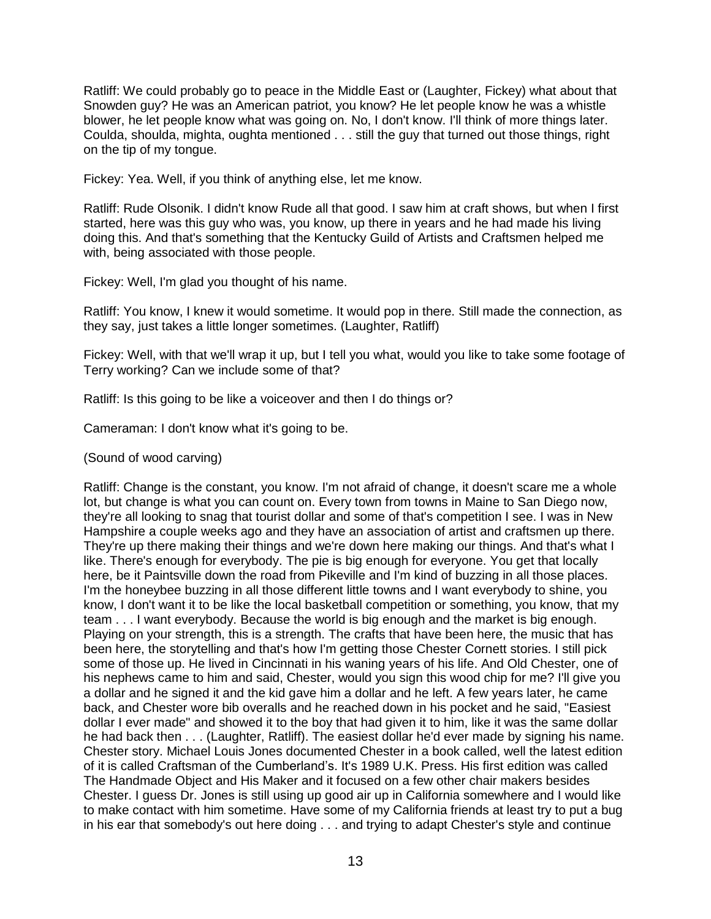Ratliff: We could probably go to peace in the Middle East or (Laughter, Fickey) what about that Snowden guy? He was an American patriot, you know? He let people know he was a whistle blower, he let people know what was going on. No, I don't know. I'll think of more things later. Coulda, shoulda, mighta, oughta mentioned . . . still the guy that turned out those things, right on the tip of my tongue.

Fickey: Yea. Well, if you think of anything else, let me know.

Ratliff: Rude Olsonik. I didn't know Rude all that good. I saw him at craft shows, but when I first started, here was this guy who was, you know, up there in years and he had made his living doing this. And that's something that the Kentucky Guild of Artists and Craftsmen helped me with, being associated with those people.

Fickey: Well, I'm glad you thought of his name.

Ratliff: You know, I knew it would sometime. It would pop in there. Still made the connection, as they say, just takes a little longer sometimes. (Laughter, Ratliff)

Fickey: Well, with that we'll wrap it up, but I tell you what, would you like to take some footage of Terry working? Can we include some of that?

Ratliff: Is this going to be like a voiceover and then I do things or?

Cameraman: I don't know what it's going to be.

(Sound of wood carving)

Ratliff: Change is the constant, you know. I'm not afraid of change, it doesn't scare me a whole lot, but change is what you can count on. Every town from towns in Maine to San Diego now, they're all looking to snag that tourist dollar and some of that's competition I see. I was in New Hampshire a couple weeks ago and they have an association of artist and craftsmen up there. They're up there making their things and we're down here making our things. And that's what I like. There's enough for everybody. The pie is big enough for everyone. You get that locally here, be it Paintsville down the road from Pikeville and I'm kind of buzzing in all those places. I'm the honeybee buzzing in all those different little towns and I want everybody to shine, you know, I don't want it to be like the local basketball competition or something, you know, that my team . . . I want everybody. Because the world is big enough and the market is big enough. Playing on your strength, this is a strength. The crafts that have been here, the music that has been here, the storytelling and that's how I'm getting those Chester Cornett stories. I still pick some of those up. He lived in Cincinnati in his waning years of his life. And Old Chester, one of his nephews came to him and said, Chester, would you sign this wood chip for me? I'll give you a dollar and he signed it and the kid gave him a dollar and he left. A few years later, he came back, and Chester wore bib overalls and he reached down in his pocket and he said, "Easiest dollar I ever made" and showed it to the boy that had given it to him, like it was the same dollar he had back then . . . (Laughter, Ratliff). The easiest dollar he'd ever made by signing his name. Chester story. Michael Louis Jones documented Chester in a book called, well the latest edition of it is called Craftsman of the Cumberland's. It's 1989 U.K. Press. His first edition was called The Handmade Object and His Maker and it focused on a few other chair makers besides Chester. I guess Dr. Jones is still using up good air up in California somewhere and I would like to make contact with him sometime. Have some of my California friends at least try to put a bug in his ear that somebody's out here doing . . . and trying to adapt Chester's style and continue